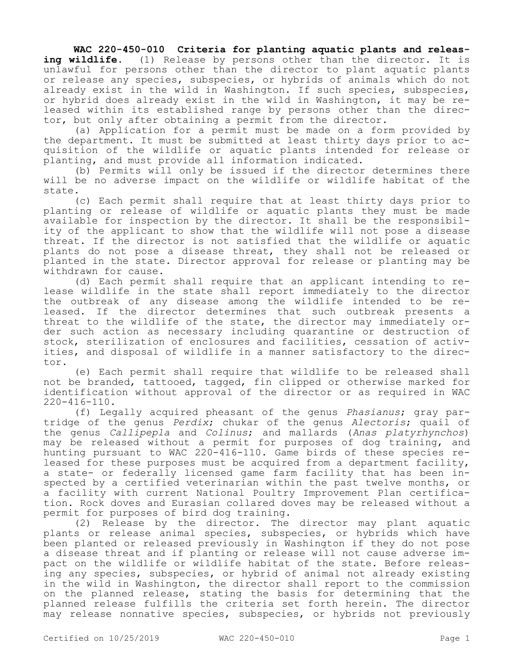## **WAC 220-450-010 Criteria for planting aquatic plants and releasing wildlife.** (1) Release by persons other than the director. It is unlawful for persons other than the director to plant aquatic plants or release any species, subspecies, or hybrids of animals which do not already exist in the wild in Washington. If such species, subspecies, or hybrid does already exist in the wild in Washington, it may be released within its established range by persons other than the director, but only after obtaining a permit from the director.

(a) Application for a permit must be made on a form provided by the department. It must be submitted at least thirty days prior to acquisition of the wildlife or aquatic plants intended for release or planting, and must provide all information indicated.

(b) Permits will only be issued if the director determines there will be no adverse impact on the wildlife or wildlife habitat of the state.

(c) Each permit shall require that at least thirty days prior to planting or release of wildlife or aquatic plants they must be made available for inspection by the director. It shall be the responsibility of the applicant to show that the wildlife will not pose a disease threat. If the director is not satisfied that the wildlife or aquatic plants do not pose a disease threat, they shall not be released or planted in the state. Director approval for release or planting may be withdrawn for cause.

(d) Each permit shall require that an applicant intending to release wildlife in the state shall report immediately to the director the outbreak of any disease among the wildlife intended to be released. If the director determines that such outbreak presents a threat to the wildlife of the state, the director may immediately order such action as necessary including quarantine or destruction of stock, sterilization of enclosures and facilities, cessation of activities, and disposal of wildlife in a manner satisfactory to the director.

(e) Each permit shall require that wildlife to be released shall not be branded, tattooed, tagged, fin clipped or otherwise marked for identification without approval of the director or as required in WAC 220-416-110.

(f) Legally acquired pheasant of the genus *Phasianus*; gray partridge of the genus *Perdix*; chukar of the genus *Alectoris*; quail of the genus *Callipepla* and *Colinus*; and mallards (*Anas platyrhynchos*) may be released without a permit for purposes of dog training, and hunting pursuant to WAC 220-416-110. Game birds of these species released for these purposes must be acquired from a department facility, a state- or federally licensed game farm facility that has been inspected by a certified veterinarian within the past twelve months, or a facility with current National Poultry Improvement Plan certification. Rock doves and Eurasian collared doves may be released without a permit for purposes of bird dog training.

(2) Release by the director. The director may plant aquatic plants or release animal species, subspecies, or hybrids which have been planted or released previously in Washington if they do not pose a disease threat and if planting or release will not cause adverse impact on the wildlife or wildlife habitat of the state. Before releasing any species, subspecies, or hybrid of animal not already existing in the wild in Washington, the director shall report to the commission on the planned release, stating the basis for determining that the planned release fulfills the criteria set forth herein. The director may release nonnative species, subspecies, or hybrids not previously